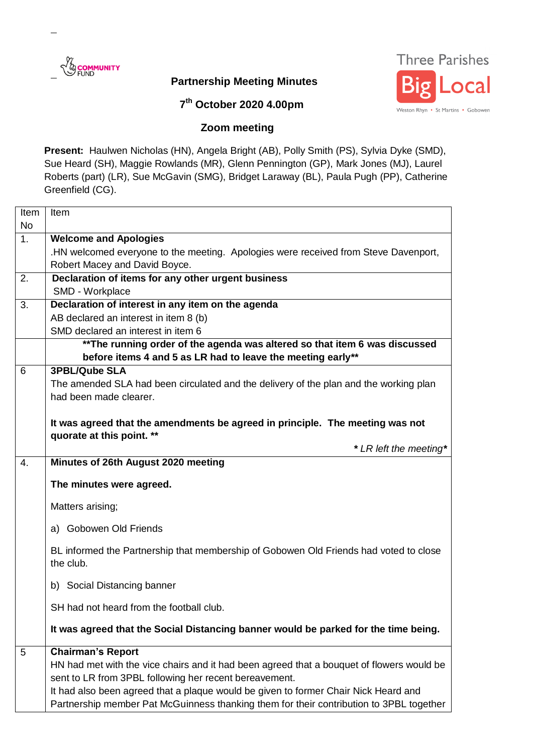

## **Partnership Meeting Minutes**



## **7 th October 2020 4.00pm**

## **Zoom meeting**

**Present:** Haulwen Nicholas (HN), Angela Bright (AB), Polly Smith (PS), Sylvia Dyke (SMD), Sue Heard (SH), Maggie Rowlands (MR), Glenn Pennington (GP), Mark Jones (MJ), Laurel Roberts (part) (LR), Sue McGavin (SMG), Bridget Laraway (BL), Paula Pugh (PP), Catherine Greenfield (CG).

| Item      | Item                                                                                                                                                                                                                                                                                                                                                              |
|-----------|-------------------------------------------------------------------------------------------------------------------------------------------------------------------------------------------------------------------------------------------------------------------------------------------------------------------------------------------------------------------|
| <b>No</b> |                                                                                                                                                                                                                                                                                                                                                                   |
| 1.        | <b>Welcome and Apologies</b>                                                                                                                                                                                                                                                                                                                                      |
|           | .HN welcomed everyone to the meeting. Apologies were received from Steve Davenport,                                                                                                                                                                                                                                                                               |
|           | Robert Macey and David Boyce.                                                                                                                                                                                                                                                                                                                                     |
| 2.        | Declaration of items for any other urgent business                                                                                                                                                                                                                                                                                                                |
|           | SMD - Workplace                                                                                                                                                                                                                                                                                                                                                   |
| 3.        | Declaration of interest in any item on the agenda                                                                                                                                                                                                                                                                                                                 |
|           | AB declared an interest in item 8 (b)                                                                                                                                                                                                                                                                                                                             |
|           | SMD declared an interest in item 6                                                                                                                                                                                                                                                                                                                                |
|           | ** The running order of the agenda was altered so that item 6 was discussed                                                                                                                                                                                                                                                                                       |
|           | before items 4 and 5 as LR had to leave the meeting early**                                                                                                                                                                                                                                                                                                       |
| 6         | <b>3PBL/Qube SLA</b>                                                                                                                                                                                                                                                                                                                                              |
|           | The amended SLA had been circulated and the delivery of the plan and the working plan                                                                                                                                                                                                                                                                             |
|           | had been made clearer.                                                                                                                                                                                                                                                                                                                                            |
|           |                                                                                                                                                                                                                                                                                                                                                                   |
|           | It was agreed that the amendments be agreed in principle. The meeting was not                                                                                                                                                                                                                                                                                     |
|           | quorate at this point. **                                                                                                                                                                                                                                                                                                                                         |
|           | * LR left the meeting*                                                                                                                                                                                                                                                                                                                                            |
| 4.        | Minutes of 26th August 2020 meeting                                                                                                                                                                                                                                                                                                                               |
|           | The minutes were agreed.                                                                                                                                                                                                                                                                                                                                          |
|           | Matters arising;                                                                                                                                                                                                                                                                                                                                                  |
|           | a) Gobowen Old Friends                                                                                                                                                                                                                                                                                                                                            |
|           | BL informed the Partnership that membership of Gobowen Old Friends had voted to close<br>the club.                                                                                                                                                                                                                                                                |
|           | b) Social Distancing banner                                                                                                                                                                                                                                                                                                                                       |
|           | SH had not heard from the football club.                                                                                                                                                                                                                                                                                                                          |
|           | It was agreed that the Social Distancing banner would be parked for the time being.                                                                                                                                                                                                                                                                               |
| 5         | <b>Chairman's Report</b><br>HN had met with the vice chairs and it had been agreed that a bouquet of flowers would be<br>sent to LR from 3PBL following her recent bereavement.<br>It had also been agreed that a plaque would be given to former Chair Nick Heard and<br>Partnership member Pat McGuinness thanking them for their contribution to 3PBL together |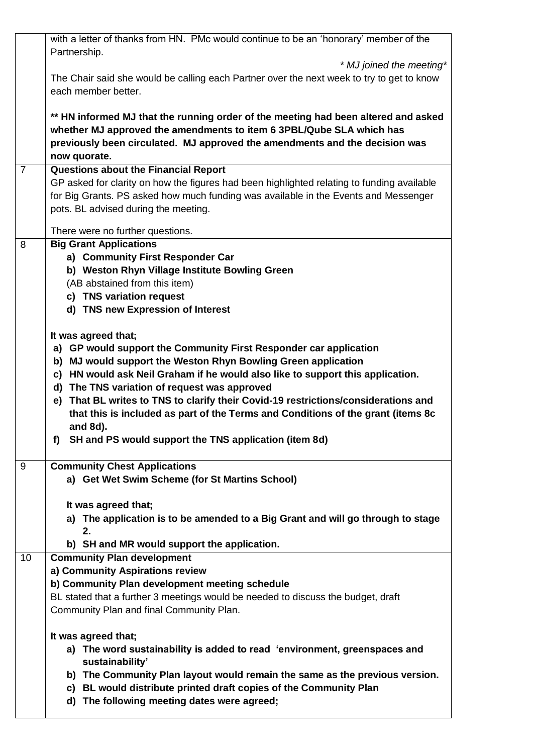| 10             | b) SH and MR would support the application.<br><b>Community Plan development</b><br>a) Community Aspirations review                                        |
|----------------|------------------------------------------------------------------------------------------------------------------------------------------------------------|
|                |                                                                                                                                                            |
|                | 2.                                                                                                                                                         |
|                | It was agreed that;<br>a) The application is to be amended to a Big Grant and will go through to stage                                                     |
| 9              | <b>Community Chest Applications</b><br>a) Get Wet Swim Scheme (for St Martins School)                                                                      |
|                | SH and PS would support the TNS application (item 8d)<br>f)                                                                                                |
|                | that this is included as part of the Terms and Conditions of the grant (items 8c<br>and 8d).                                                               |
|                | d) The TNS variation of request was approved<br>e) That BL writes to TNS to clarify their Covid-19 restrictions/considerations and                         |
|                | b) MJ would support the Weston Rhyn Bowling Green application<br>c) HN would ask Neil Graham if he would also like to support this application.            |
|                | It was agreed that;<br>a) GP would support the Community First Responder car application                                                                   |
|                | d) TNS new Expression of Interest                                                                                                                          |
|                | c) TNS variation request                                                                                                                                   |
|                | b) Weston Rhyn Village Institute Bowling Green<br>(AB abstained from this item)                                                                            |
| 8              | <b>Big Grant Applications</b><br>a) Community First Responder Car                                                                                          |
|                | There were no further questions.                                                                                                                           |
|                | for Big Grants. PS asked how much funding was available in the Events and Messenger<br>pots. BL advised during the meeting.                                |
| $\overline{7}$ | <b>Questions about the Financial Report</b><br>GP asked for clarity on how the figures had been highlighted relating to funding available                  |
|                | previously been circulated. MJ approved the amendments and the decision was<br>now quorate.                                                                |
|                | ** HN informed MJ that the running order of the meeting had been altered and asked<br>whether MJ approved the amendments to item 6 3PBL/Qube SLA which has |
|                | each member better.                                                                                                                                        |
|                | * MJ joined the meeting*<br>The Chair said she would be calling each Partner over the next week to try to get to know                                      |
|                | with a letter of thanks from HN. PMc would continue to be an 'honorary' member of the<br>Partnership.                                                      |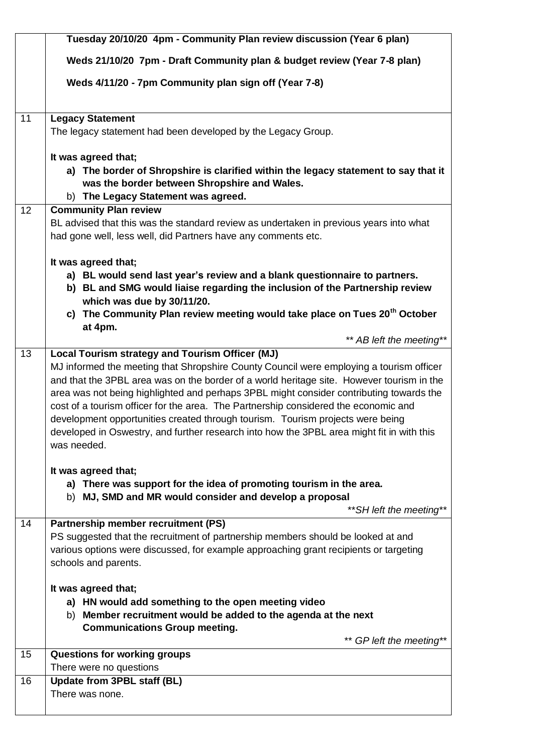|    | Tuesday 20/10/20 4pm - Community Plan review discussion (Year 6 plan)                                                                                                                                                                                                                                                                                                                                                                                                                                                                                                                                                   |
|----|-------------------------------------------------------------------------------------------------------------------------------------------------------------------------------------------------------------------------------------------------------------------------------------------------------------------------------------------------------------------------------------------------------------------------------------------------------------------------------------------------------------------------------------------------------------------------------------------------------------------------|
|    | Weds 21/10/20 7pm - Draft Community plan & budget review (Year 7-8 plan)                                                                                                                                                                                                                                                                                                                                                                                                                                                                                                                                                |
|    | Weds 4/11/20 - 7pm Community plan sign off (Year 7-8)                                                                                                                                                                                                                                                                                                                                                                                                                                                                                                                                                                   |
| 11 | <b>Legacy Statement</b><br>The legacy statement had been developed by the Legacy Group.                                                                                                                                                                                                                                                                                                                                                                                                                                                                                                                                 |
|    | It was agreed that;<br>a) The border of Shropshire is clarified within the legacy statement to say that it<br>was the border between Shropshire and Wales.<br>b) The Legacy Statement was agreed.                                                                                                                                                                                                                                                                                                                                                                                                                       |
| 12 | <b>Community Plan review</b><br>BL advised that this was the standard review as undertaken in previous years into what<br>had gone well, less well, did Partners have any comments etc.                                                                                                                                                                                                                                                                                                                                                                                                                                 |
|    | It was agreed that;<br>a) BL would send last year's review and a blank questionnaire to partners.<br>b) BL and SMG would liaise regarding the inclusion of the Partnership review<br>which was due by 30/11/20.<br>c) The Community Plan review meeting would take place on Tues 20 <sup>th</sup> October                                                                                                                                                                                                                                                                                                               |
|    | at 4pm.<br>** AB left the meeting**                                                                                                                                                                                                                                                                                                                                                                                                                                                                                                                                                                                     |
| 13 | Local Tourism strategy and Tourism Officer (MJ)<br>MJ informed the meeting that Shropshire County Council were employing a tourism officer<br>and that the 3PBL area was on the border of a world heritage site. However tourism in the<br>area was not being highlighted and perhaps 3PBL might consider contributing towards the<br>cost of a tourism officer for the area. The Partnership considered the economic and<br>development opportunities created through tourism. Tourism projects were being<br>developed in Oswestry, and further research into how the 3PBL area might fit in with this<br>was needed. |
|    | It was agreed that;<br>a) There was support for the idea of promoting tourism in the area.<br>b) MJ, SMD and MR would consider and develop a proposal<br>** SH left the meeting**                                                                                                                                                                                                                                                                                                                                                                                                                                       |
| 14 | <b>Partnership member recruitment (PS)</b><br>PS suggested that the recruitment of partnership members should be looked at and<br>various options were discussed, for example approaching grant recipients or targeting<br>schools and parents.                                                                                                                                                                                                                                                                                                                                                                         |
|    | It was agreed that;<br>a) HN would add something to the open meeting video<br>b) Member recruitment would be added to the agenda at the next<br><b>Communications Group meeting.</b><br>** GP left the meeting**                                                                                                                                                                                                                                                                                                                                                                                                        |
| 15 | <b>Questions for working groups</b><br>There were no questions                                                                                                                                                                                                                                                                                                                                                                                                                                                                                                                                                          |
| 16 | <b>Update from 3PBL staff (BL)</b><br>There was none.                                                                                                                                                                                                                                                                                                                                                                                                                                                                                                                                                                   |